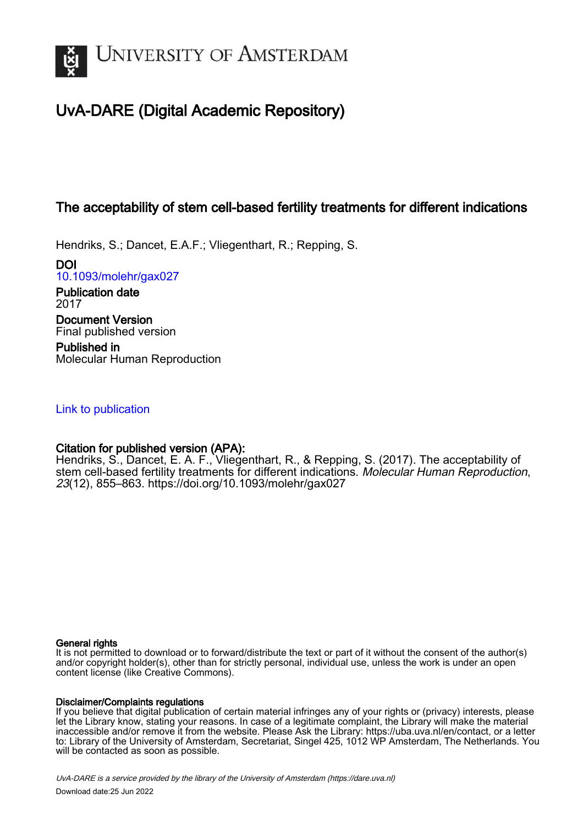

# UvA-DARE (Digital Academic Repository)

# The acceptability of stem cell-based fertility treatments for different indications

Hendriks, S.; Dancet, E.A.F.; Vliegenthart, R.; Repping, S.

DOI [10.1093/molehr/gax027](https://doi.org/10.1093/molehr/gax027)

Publication date 2017 Document Version Final published version

Published in Molecular Human Reproduction

# [Link to publication](https://dare.uva.nl/personal/pure/en/publications/the-acceptability-of-stem-cellbased-fertility-treatments-for-different-indications(13b93e0c-896f-4783-8b03-72d4d3bd95ba).html)

# Citation for published version (APA):

Hendriks, S., Dancet, E. A. F., Vliegenthart, R., & Repping, S. (2017). The acceptability of stem cell-based fertility treatments for different indications. Molecular Human Reproduction, 23(12), 855–863.<https://doi.org/10.1093/molehr/gax027>

#### General rights

It is not permitted to download or to forward/distribute the text or part of it without the consent of the author(s) and/or copyright holder(s), other than for strictly personal, individual use, unless the work is under an open content license (like Creative Commons).

### Disclaimer/Complaints regulations

If you believe that digital publication of certain material infringes any of your rights or (privacy) interests, please let the Library know, stating your reasons. In case of a legitimate complaint, the Library will make the material inaccessible and/or remove it from the website. Please Ask the Library: https://uba.uva.nl/en/contact, or a letter to: Library of the University of Amsterdam, Secretariat, Singel 425, 1012 WP Amsterdam, The Netherlands. You will be contacted as soon as possible.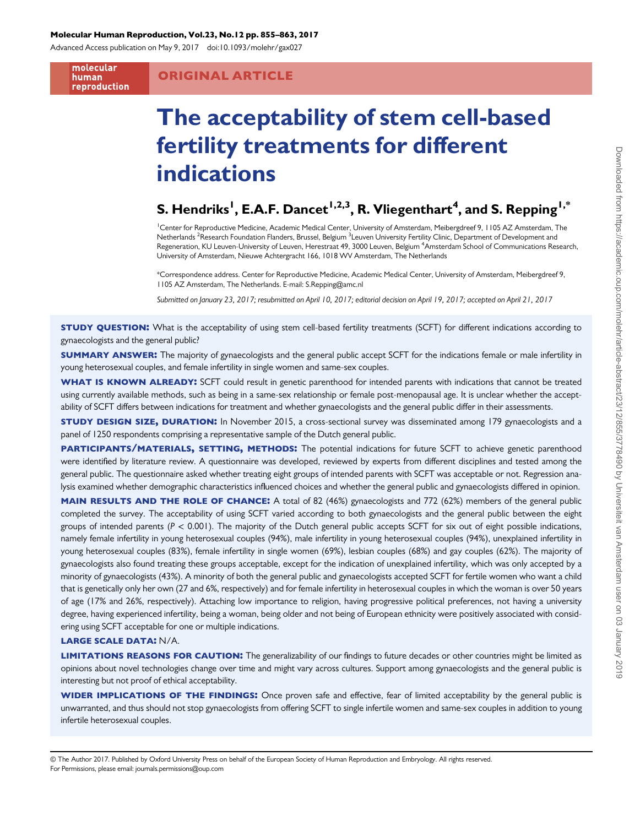#### Molecular Human Reproduction, Vol.23, No.12 pp. 855–863, 2017

Advanced Access publication on May 9, 2017 doi:10.1093/molehr/gax027

molecular human reproduction

### ORIGINAL ARTICLE

# The acceptability of stem cell-based fertility treatments for different indications

# S. Hendriks $^{\mathsf{I}},$  E.A.F. Dancet $^{\mathsf{I},\mathsf{2},\mathsf{3}},$  R. Vliegenthart $^{\mathsf{4}},$  and S. Repping $^{\mathsf{I},\mathsf{*}}$

<sup>1</sup> Center for Reproductive Medicine, Academic Medical Center, University of Amsterdam, Meibergdreef 9, 1105 AZ Amsterdam, The Netherlands <sup>2</sup>Research Foundation Flanders, Brussel, Belgium <sup>3</sup>Leuven University Fertility Clinic, Department of Development and Regeneration, KU Leuven-University of Leuven, Herestraat 49, 3000 Leuven, Belgium <sup>4</sup>Amsterdam School of Communications Research, University of Amsterdam, Nieuwe Achtergracht 166, 1018 WV Amsterdam, The Netherlands

\*Correspondence address. Center for Reproductive Medicine, Academic Medical Center, University of Amsterdam, Meibergdreef 9, 1105 AZ Amsterdam, The Netherlands. E-mail: S.Repping@amc.nl

Submitted on January 23, 2017; resubmitted on April 10, 2017; editorial decision on April 19, 2017; accepted on April 21, 2017

**STUDY QUESTION:** What is the acceptability of using stem cell-based fertility treatments (SCFT) for different indications according to gynaecologists and the general public?

SUMMARY ANSWER: The majority of gynaecologists and the general public accept SCFT for the indications female or male infertility in young heterosexual couples, and female infertility in single women and same-sex couples.

WHAT IS KNOWN ALREADY: SCFT could result in genetic parenthood for intended parents with indications that cannot be treated using currently available methods, such as being in a same-sex relationship or female post-menopausal age. It is unclear whether the acceptability of SCFT differs between indications for treatment and whether gynaecologists and the general public differ in their assessments.

**STUDY DESIGN SIZE, DURATION:** In November 2015, a cross-sectional survey was disseminated among 179 gynaecologists and a panel of 1250 respondents comprising a representative sample of the Dutch general public.

PARTICIPANTS/MATERIALS, SETTING, METHODS: The potential indications for future SCFT to achieve genetic parenthood were identified by literature review. A questionnaire was developed, reviewed by experts from different disciplines and tested among the general public. The questionnaire asked whether treating eight groups of intended parents with SCFT was acceptable or not. Regression analysis examined whether demographic characteristics influenced choices and whether the general public and gynaecologists differed in opinion.

MAIN RESULTS AND THE ROLE OF CHANCE: A total of 82 (46%) gynaecologists and 772 (62%) members of the general public completed the survey. The acceptability of using SCFT varied according to both gynaecologists and the general public between the eight groups of intended parents ( $P < 0.001$ ). The majority of the Dutch general public accepts SCFT for six out of eight possible indications, namely female infertility in young heterosexual couples (94%), male infertility in young heterosexual couples (94%), unexplained infertility in young heterosexual couples (83%), female infertility in single women (69%), lesbian couples (68%) and gay couples (62%). The majority of gynaecologists also found treating these groups acceptable, except for the indication of unexplained infertility, which was only accepted by a minority of gynaecologists (43%). A minority of both the general public and gynaecologists accepted SCFT for fertile women who want a child that is genetically only her own (27 and 6%, respectively) and for female infertility in heterosexual couples in which the woman is over 50 years of age (17% and 26%, respectively). Attaching low importance to religion, having progressive political preferences, not having a university degree, having experienced infertility, being a woman, being older and not being of European ethnicity were positively associated with considering using SCFT acceptable for one or multiple indications.

#### LARGE SCALE DATA: N/A.

LIMITATIONS REASONS FOR CAUTION: The generalizability of our findings to future decades or other countries might be limited as opinions about novel technologies change over time and might vary across cultures. Support among gynaecologists and the general public is interesting but not proof of ethical acceptability.

WIDER IMPLICATIONS OF THE FINDINGS: Once proven safe and effective, fear of limited acceptability by the general public is unwarranted, and thus should not stop gynaecologists from offering SCFT to single infertile women and same-sex couples in addition to young infertile heterosexual couples.

© The Author 2017. Published by Oxford University Press on behalf of the European Society of Human Reproduction and Embryology. All rights reserved. For Permissions, please email: journals.permissions@oup.com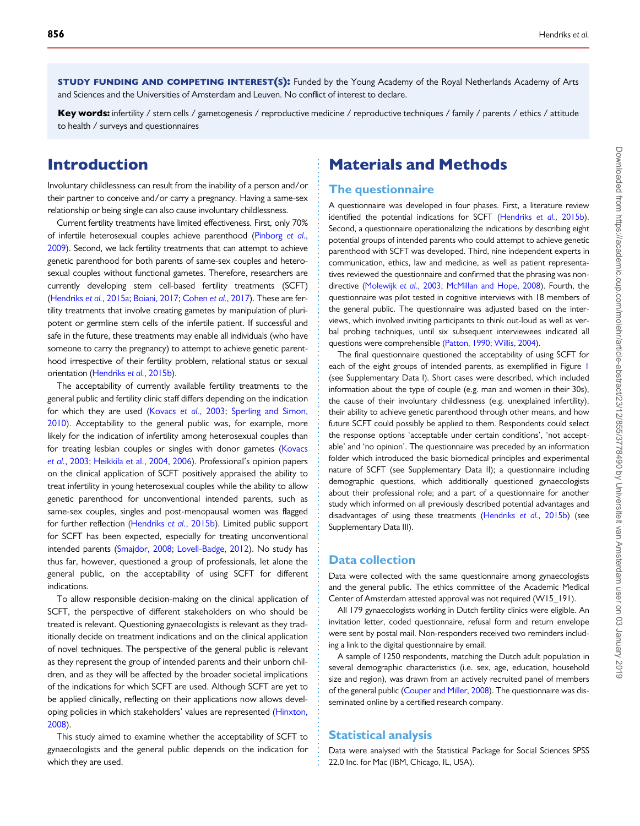**STUDY FUNDING AND COMPETING INTEREST(S):** Funded by the Young Academy of the Royal Netherlands Academy of Arts and Sciences and the Universities of Amsterdam and Leuven. No conflict of interest to declare.

Key words: infertility / stem cells / gametogenesis / reproductive medicine / reproductive techniques / family / parents / ethics / attitude to health / surveys and questionnaires

# Introduction

Involuntary childlessness can result from the inability of a person and/or their partner to conceive and/or carry a pregnancy. Having a same-sex relationship or being single can also cause involuntary childlessness.

Current fertility treatments have limited effectiveness. First, only 70% of infertile heterosexual couples achieve parenthood ([Pinborg](#page-9-0) et al., [2009\)](#page-9-0). Second, we lack fertility treatments that can attempt to achieve genetic parenthood for both parents of same-sex couples and heterosexual couples without functional gametes. Therefore, researchers are currently developing stem cell-based fertility treatments (SCFT) [\(Hendriks](#page-8-0) et al., 2015a; [Boiani, 2017;](#page-8-0) [Cohen](#page-8-0) et al., 2017). These are fertility treatments that involve creating gametes by manipulation of pluripotent or germline stem cells of the infertile patient. If successful and safe in the future, these treatments may enable all individuals (who have someone to carry the pregnancy) to attempt to achieve genetic parenthood irrespective of their fertility problem, relational status or sexual orientation [\(Hendriks](#page-8-0) et al., 2015b).

The acceptability of currently available fertility treatments to the general public and fertility clinic staff differs depending on the indication for which they are used [\(Kovacs](#page-8-0) et al., 2003; [Sperling and Simon,](#page-9-0) [2010](#page-9-0)). Acceptability to the general public was, for example, more likely for the indication of infertility among heterosexual couples than for treating lesbian couples or singles with donor gametes ([Kovacs](#page-8-0) et al.[, 2003](#page-8-0); [Heikkila et al., 2004,](#page-8-0) [2006](#page-8-0)). Professional's opinion papers on the clinical application of SCFT positively appraised the ability to treat infertility in young heterosexual couples while the ability to allow genetic parenthood for unconventional intended parents, such as same-sex couples, singles and post-menopausal women was flagged for further reflection [\(Hendriks](#page-8-0) et al., 2015b). Limited public support for SCFT has been expected, especially for treating unconventional intended parents [\(Smajdor, 2008](#page-9-0); [Lovell-Badge, 2012](#page-8-0)). No study has thus far, however, questioned a group of professionals, let alone the general public, on the acceptability of using SCFT for different indications.

To allow responsible decision-making on the clinical application of SCFT, the perspective of different stakeholders on who should be treated is relevant. Questioning gynaecologists is relevant as they traditionally decide on treatment indications and on the clinical application of novel techniques. The perspective of the general public is relevant as they represent the group of intended parents and their unborn children, and as they will be affected by the broader societal implications of the indications for which SCFT are used. Although SCFT are yet to be applied clinically, reflecting on their applications now allows developing policies in which stakeholders' values are represented ([Hinxton,](#page-8-0) [2008](#page-8-0)).

This study aimed to examine whether the acceptability of SCFT to gynaecologists and the general public depends on the indication for which they are used.

# Materials and Methods

#### The questionnaire

A questionnaire was developed in four phases. First, a literature review identified the potential indications for SCFT ([Hendriks](#page-8-0) et al., 2015b). Second, a questionnaire operationalizing the indications by describing eight potential groups of intended parents who could attempt to achieve genetic parenthood with SCFT was developed. Third, nine independent experts in communication, ethics, law and medicine, as well as patient representatives reviewed the questionnaire and confirmed that the phrasing was nondirective [\(Molewijk](#page-8-0) et al., 2003; [McMillan and Hope, 2008](#page-8-0)). Fourth, the questionnaire was pilot tested in cognitive interviews with 18 members of the general public. The questionnaire was adjusted based on the interviews, which involved inviting participants to think out-loud as well as verbal probing techniques, until six subsequent interviewees indicated all questions were comprehensible [\(Patton, 1990](#page-9-0); [Willis, 2004\)](#page-9-0).

The final questionnaire questioned the acceptability of using SCFT for each of the eight groups of intended parents, as exemplified in Figure [1](#page-3-0) (see [Supplementary Data I](http://molehr.oxfordjournals.org/lookup/suppl/doi:10.1093/molehr/gax027/-/DC1)). Short cases were described, which included information about the type of couple (e.g. man and women in their 30s), the cause of their involuntary childlessness (e.g. unexplained infertility), their ability to achieve genetic parenthood through other means, and how future SCFT could possibly be applied to them. Respondents could select the response options 'acceptable under certain conditions', 'not acceptable' and 'no opinion'. The questionnaire was preceded by an information folder which introduced the basic biomedical principles and experimental nature of SCFT (see [Supplementary Data II](http://molehr.oxfordjournals.org/lookup/suppl/doi:10.1093/molehr/gax027/-/DC1)); a questionnaire including demographic questions, which additionally questioned gynaecologists about their professional role; and a part of a questionnaire for another study which informed on all previously described potential advantages and disadvantages of using these treatments ([Hendriks](#page-8-0) et al., 2015b) (see [Supplementary Data III](http://molehr.oxfordjournals.org/lookup/suppl/doi:10.1093/molehr/gax027/-/DC1)).

#### Data collection

Data were collected with the same questionnaire among gynaecologists and the general public. The ethics committee of the Academic Medical Center of Amsterdam attested approval was not required (W15\_191).

All 179 gynaecologists working in Dutch fertility clinics were eligible. An invitation letter, coded questionnaire, refusal form and return envelope were sent by postal mail. Non-responders received two reminders including a link to the digital questionnaire by email.

A sample of 1250 respondents, matching the Dutch adult population in several demographic characteristics (i.e. sex, age, education, household size and region), was drawn from an actively recruited panel of members of the general public [\(Couper and Miller, 2008](#page-8-0)). The questionnaire was disseminated online by a certified research company.

### Statistical analysis

Data were analysed with the Statistical Package for Social Sciences SPSS 22.0 Inc. for Mac (IBM, Chicago, IL, USA).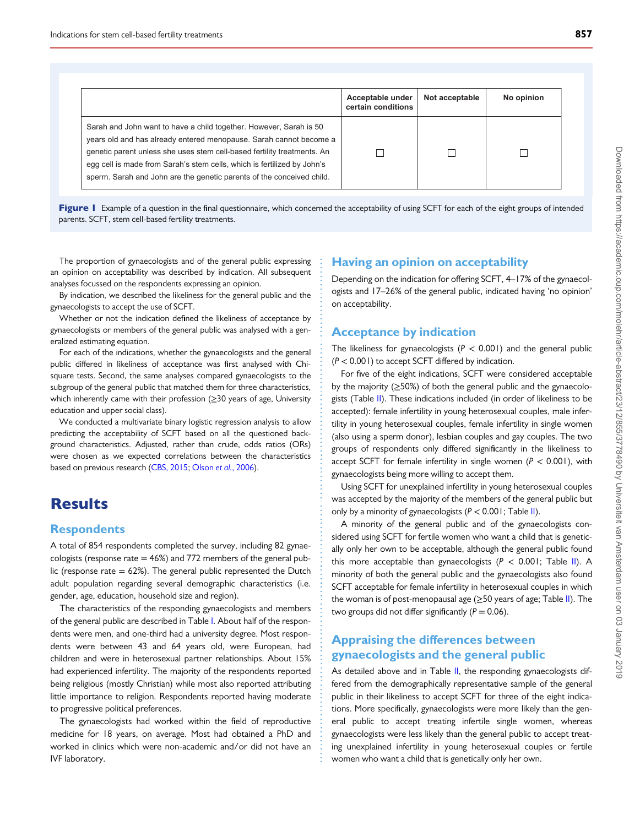<span id="page-3-0"></span>

|                                                                                                                                                                                                                                                                                                                                                                         | Acceptable under<br>certain conditions | Not acceptable | No opinion |
|-------------------------------------------------------------------------------------------------------------------------------------------------------------------------------------------------------------------------------------------------------------------------------------------------------------------------------------------------------------------------|----------------------------------------|----------------|------------|
| Sarah and John want to have a child together. However, Sarah is 50<br>years old and has already entered menopause. Sarah cannot become a<br>genetic parent unless she uses stem cell-based fertility treatments. An<br>egg cell is made from Sarah's stem cells, which is fertilized by John's<br>sperm. Sarah and John are the genetic parents of the conceived child. |                                        |                |            |

Figure 1 Example of a question in the final questionnaire, which concerned the acceptability of using SCFT for each of the eight groups of intended parents. SCFT, stem cell-based fertility treatments.

The proportion of gynaecologists and of the general public expressing an opinion on acceptability was described by indication. All subsequent analyses focussed on the respondents expressing an opinion.

By indication, we described the likeliness for the general public and the gynaecologists to accept the use of SCFT.

Whether or not the indication defined the likeliness of acceptance by gynaecologists or members of the general public was analysed with a generalized estimating equation.

For each of the indications, whether the gynaecologists and the general public differed in likeliness of acceptance was first analysed with Chisquare tests. Second, the same analyses compared gynaecologists to the subgroup of the general public that matched them for three characteristics, which inherently came with their profession (≥30 years of age, University education and upper social class).

We conducted a multivariate binary logistic regression analysis to allow predicting the acceptability of SCFT based on all the questioned background characteristics. Adjusted, rather than crude, odds ratios (ORs) were chosen as we expected correlations between the characteristics based on previous research ([CBS, 2015;](#page-8-0) Olson et al.[, 2006](#page-9-0)).

# **Results**

### **Respondents**

A total of 854 respondents completed the survey, including 82 gynaecologists (response rate  $= 46\%$ ) and 772 members of the general public (response rate  $= 62\%$ ). The general public represented the Dutch adult population regarding several demographic characteristics (i.e. gender, age, education, household size and region).

The characteristics of the responding gynaecologists and members of the general public are described in Table [I](#page-4-0). About half of the respondents were men, and one-third had a university degree. Most respondents were between 43 and 64 years old, were European, had children and were in heterosexual partner relationships. About 15% had experienced infertility. The majority of the respondents reported being religious (mostly Christian) while most also reported attributing little importance to religion. Respondents reported having moderate to progressive political preferences.

The gynaecologists had worked within the field of reproductive medicine for 18 years, on average. Most had obtained a PhD and worked in clinics which were non-academic and/or did not have an IVF laboratory.

#### Having an opinion on acceptability

Depending on the indication for offering SCFT, 4–17% of the gynaecologists and 17–26% of the general public, indicated having 'no opinion' on acceptability.

#### Acceptance by indication

The likeliness for gynaecologists ( $P < 0.001$ ) and the general public  $(P < 0.001)$  to accept SCFT differed by indication.

For five of the eight indications, SCFT were considered acceptable by the majority  $(≥50%)$  of both the general public and the gynaecolo-gists (Table [II](#page-5-0)). These indications included (in order of likeliness to be accepted): female infertility in young heterosexual couples, male infertility in young heterosexual couples, female infertility in single women (also using a sperm donor), lesbian couples and gay couples. The two groups of respondents only differed significantly in the likeliness to accept SCFT for female infertility in single women ( $P < 0.001$ ), with gynaecologists being more willing to accept them.

Using SCFT for unexplained infertility in young heterosexual couples was accepted by the majority of the members of the general public but only by a minority of gynaecologists  $(P < 0.001$ ; Table [II](#page-5-0)).

A minority of the general public and of the gynaecologists considered using SCFT for fertile women who want a child that is genetically only her own to be acceptable, although the general public found this more acceptable than gynaecologists  $(P < 0.001$ ; Table [II\)](#page-5-0). A minority of both the general public and the gynaecologists also found SCFT acceptable for female infertility in heterosexual couples in which the woman is of post-menopausal age ( $\geq$ 50 years of age; Table [II\)](#page-5-0). The two groups did not differ significantly ( $P = 0.06$ ).

### Appraising the differences between gynaecologists and the general public

As detailed above and in Table [II](#page-5-0), the responding gynaecologists differed from the demographically representative sample of the general public in their likeliness to accept SCFT for three of the eight indications. More specifically, gynaecologists were more likely than the general public to accept treating infertile single women, whereas gynaecologists were less likely than the general public to accept treating unexplained infertility in young heterosexual couples or fertile women who want a child that is genetically only her own.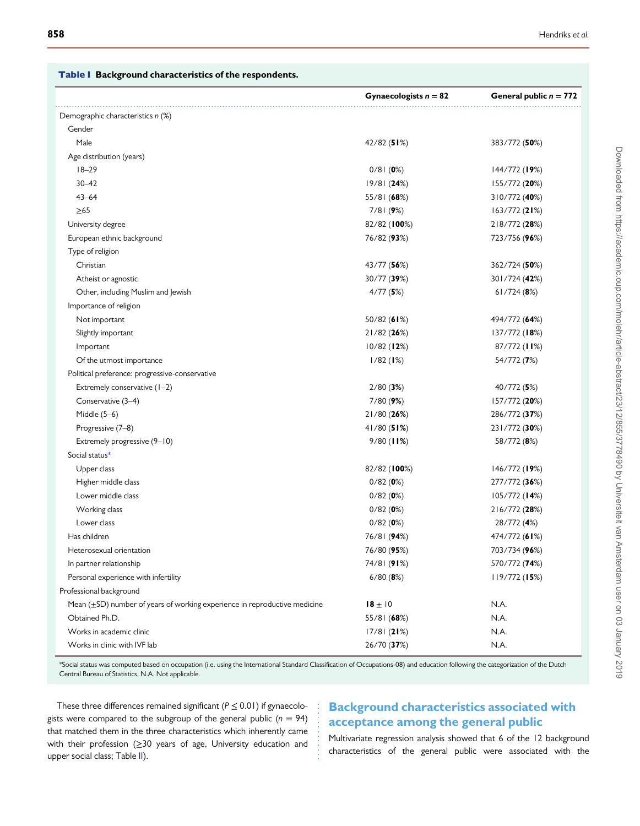<span id="page-4-0"></span>

|  |  | Table I Background characteristics of the respondents. |  |  |
|--|--|--------------------------------------------------------|--|--|
|--|--|--------------------------------------------------------|--|--|

|                                                                                | Gynaecologists $n = 82$ | General public $n = 772$ |
|--------------------------------------------------------------------------------|-------------------------|--------------------------|
| Demographic characteristics n (%)                                              |                         |                          |
| Gender                                                                         |                         |                          |
| Male                                                                           | 42/82(51%)              | 383/772 (50%)            |
| Age distribution (years)                                                       |                         |                          |
| $18 - 29$                                                                      | 0/81(0%)                | $144/772$ (19%)          |
| $30 - 42$                                                                      | 19/81 (24%)             | 155/772 (20%)            |
| $43 - 64$                                                                      | 55/81 (68%)             | 310/772 (40%)            |
| $\geq 65$                                                                      | 7/81(9%)                | 163/772(21%)             |
| University degree                                                              | 82/82 (100%)            | 218/772 (28%)            |
| European ethnic background                                                     | 76/82 (93%)             | 723/756 (96%)            |
| Type of religion                                                               |                         |                          |
| Christian                                                                      | 43/77 (56%)             | 362/724 (50%)            |
| Atheist or agnostic                                                            | 30/77 (39%)             | 301/724 (42%)            |
| Other, including Muslim and Jewish                                             | 4/77(5%)                | $61/724$ (8%)            |
| Importance of religion                                                         |                         |                          |
| Not important                                                                  | 50/82 (61%)             | 494/772 (64%)            |
| Slightly important                                                             | 21/82(26%)              | 137/772(18%)             |
| Important                                                                      | 10/82(12%)              | 87/772 (11%)             |
| Of the utmost importance                                                       | 1/82(1%)                | 54/772 (7%)              |
| Political preference: progressive-conservative                                 |                         |                          |
| Extremely conservative (1-2)                                                   | 2/80(3%)                | 40/772 (5%)              |
| Conservative (3-4)                                                             | 7/80(9%)                | 157/772 (20%)            |
| Middle $(5-6)$                                                                 | 21/80(26%)              | 286/772 (37%)            |
| Progressive (7-8)                                                              | $41/80$ (51%)           | 231/772 (30%)            |
| Extremely progressive (9-10)                                                   | $9/80$ (11%)            | 58/772 (8%)              |
| Social status*                                                                 |                         |                          |
| Upper class                                                                    | 82/82 (100%)            | 146/772 (19%)            |
| Higher middle class                                                            | 0/82(0%)                | 277/772 (36%)            |
| Lower middle class                                                             | 0/82(0%)                | $105/772$ (14%)          |
| Working class                                                                  | 0/82(0%)                | 216/772 (28%)            |
| Lower class                                                                    | 0/82(0%)                | 28/772 (4%)              |
| Has children                                                                   | 76/81 (94%)             | 474/772 (61%)            |
| Heterosexual orientation                                                       | 76/80 (95%)             | 703/734 (96%)            |
| In partner relationship                                                        | 74/81 (91%)             | 570/772 (74%)            |
| Personal experience with infertility                                           | 6/80(8%)                | 119/772(15%)             |
| Professional background                                                        |                         |                          |
| Mean $(\pm SD)$ number of years of working experience in reproductive medicine | $18 \pm 10$             | N.A.                     |
| Obtained Ph.D.                                                                 | 55/81 (68%)             | N.A.                     |
| Works in academic clinic                                                       | 17/81(21%)              | N.A.                     |
| Works in clinic with IVF lab                                                   | 26/70 (37%)             | N.A.                     |

\*Social status was computed based on occupation (i.e. using the International Standard Classification of Occupations-08) and education following the categorization of the Dutch Central Bureau of Statistics. N.A. Not applicable.

These three differences remained significant ( $P \le 0.01$ ) if gynaecologists were compared to the subgroup of the general public ( $n = 94$ ) that matched them in the three characteristics which inherently came with their profession (≥30 years of age, University education and upper social class; Table [II\)](#page-5-0).

### Background characteristics associated with acceptance among the general public

Multivariate regression analysis showed that 6 of the 12 background characteristics of the general public were associated with the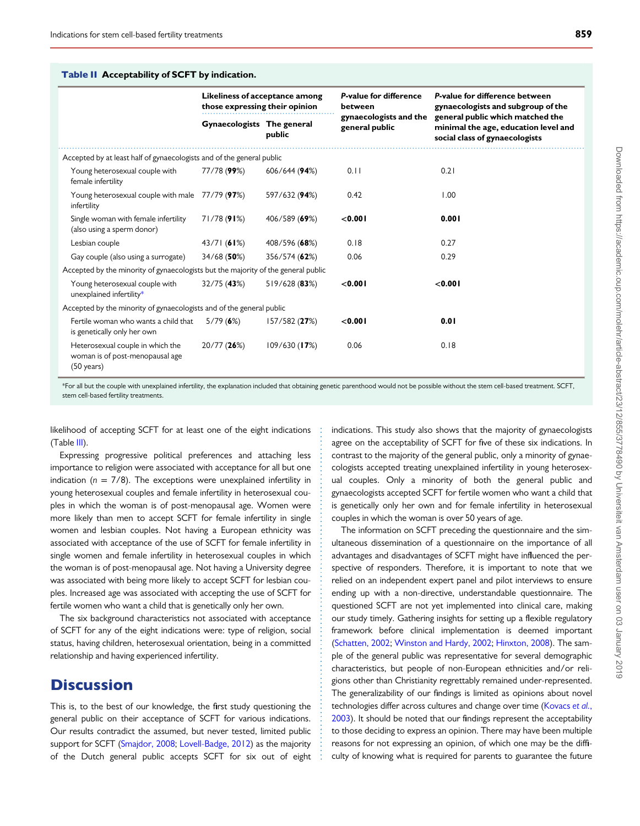#### <span id="page-5-0"></span>Table II Acceptability of SCFT by indication.

|                                                                                             | Likeliness of acceptance among<br>those expressing their opinion |                 | P-value for difference<br>between        | P-value for difference between<br>gynaecologists and subgroup of the                                       |  |
|---------------------------------------------------------------------------------------------|------------------------------------------------------------------|-----------------|------------------------------------------|------------------------------------------------------------------------------------------------------------|--|
|                                                                                             | Gynaecologists The general                                       | public          | gynaecologists and the<br>general public | general public which matched the<br>minimal the age, education level and<br>social class of gynaecologists |  |
| Accepted by at least half of gynaecologists and of the general public                       |                                                                  |                 |                                          |                                                                                                            |  |
| Young heterosexual couple with<br>female infertility                                        | 77/78 (99%)                                                      | 606/644 (94%)   | 0.11                                     | 0.21                                                                                                       |  |
| Young heterosexual couple with male 77/79 (97%)<br>infertility                              |                                                                  | 597/632 (94%)   | 0.42                                     | 1.00                                                                                                       |  |
| Single woman with female infertility<br>(also using a sperm donor)                          | 71/78(91%)                                                       | 406/589 (69%)   | < 0.001                                  | 0.001                                                                                                      |  |
| Lesbian couple                                                                              | 43/71(61%)                                                       | 408/596 (68%)   | 0.18                                     | 0.27                                                                                                       |  |
| Gay couple (also using a surrogate)                                                         | 34/68(50%)                                                       | 356/574 (62%)   | 0.06                                     | 0.29                                                                                                       |  |
| Accepted by the minority of gynaecologists but the majority of the general public           |                                                                  |                 |                                          |                                                                                                            |  |
| Young heterosexual couple with<br>unexplained infertility*                                  | 32/75(43%)                                                       | 519/628 (83%)   | < 0.001                                  | < 0.001                                                                                                    |  |
| Accepted by the minority of gynaecologists and of the general public                        |                                                                  |                 |                                          |                                                                                                            |  |
| Fertile woman who wants a child that<br>is genetically only her own                         | 5/79(6%)                                                         | 157/582(27%)    | < 0.001                                  | 0.01                                                                                                       |  |
| Heterosexual couple in which the<br>woman is of post-menopausal age<br>$(50 \text{ years})$ | 20/77 (26%)                                                      | $109/630$ (17%) | 0.06                                     | 0.18                                                                                                       |  |

\*For all but the couple with unexplained infertility, the explanation included that obtaining genetic parenthood would not be possible without the stem cell-based treatment. SCFT, stem cell-based fertility treatments.

likelihood of accepting SCFT for at least one of the eight indications (Table [III\)](#page-6-0).

Expressing progressive political preferences and attaching less importance to religion were associated with acceptance for all but one indication ( $n = 7/8$ ). The exceptions were unexplained infertility in young heterosexual couples and female infertility in heterosexual couples in which the woman is of post-menopausal age. Women were more likely than men to accept SCFT for female infertility in single women and lesbian couples. Not having a European ethnicity was associated with acceptance of the use of SCFT for female infertility in single women and female infertility in heterosexual couples in which the woman is of post-menopausal age. Not having a University degree was associated with being more likely to accept SCFT for lesbian couples. Increased age was associated with accepting the use of SCFT for fertile women who want a child that is genetically only her own.

The six background characteristics not associated with acceptance of SCFT for any of the eight indications were: type of religion, social status, having children, heterosexual orientation, being in a committed relationship and having experienced infertility.

### **Discussion**

This is, to the best of our knowledge, the first study questioning the general public on their acceptance of SCFT for various indications. Our results contradict the assumed, but never tested, limited public support for SCFT ([Smajdor, 2008;](#page-9-0) [Lovell-Badge, 2012\)](#page-8-0) as the majority of the Dutch general public accepts SCFT for six out of eight

indications. This study also shows that the majority of gynaecologists agree on the acceptability of SCFT for five of these six indications. In contrast to the majority of the general public, only a minority of gynaecologists accepted treating unexplained infertility in young heterosexual couples. Only a minority of both the general public and gynaecologists accepted SCFT for fertile women who want a child that is genetically only her own and for female infertility in heterosexual couples in which the woman is over 50 years of age.

The information on SCFT preceding the questionnaire and the simultaneous dissemination of a questionnaire on the importance of all advantages and disadvantages of SCFT might have influenced the perspective of responders. Therefore, it is important to note that we relied on an independent expert panel and pilot interviews to ensure ending up with a non-directive, understandable questionnaire. The questioned SCFT are not yet implemented into clinical care, making our study timely. Gathering insights for setting up a flexible regulatory framework before clinical implementation is deemed important [\(Schatten, 2002](#page-9-0); [Winston and Hardy, 2002](#page-9-0); [Hinxton, 2008](#page-8-0)). The sample of the general public was representative for several demographic characteristics, but people of non-European ethnicities and/or religions other than Christianity regrettably remained under-represented. The generalizability of our findings is limited as opinions about novel technologies differ across cultures and change over time ([Kovacs](#page-8-0) et al., [2003](#page-8-0)). It should be noted that our findings represent the acceptability to those deciding to express an opinion. There may have been multiple reasons for not expressing an opinion, of which one may be the difficulty of knowing what is required for parents to guarantee the future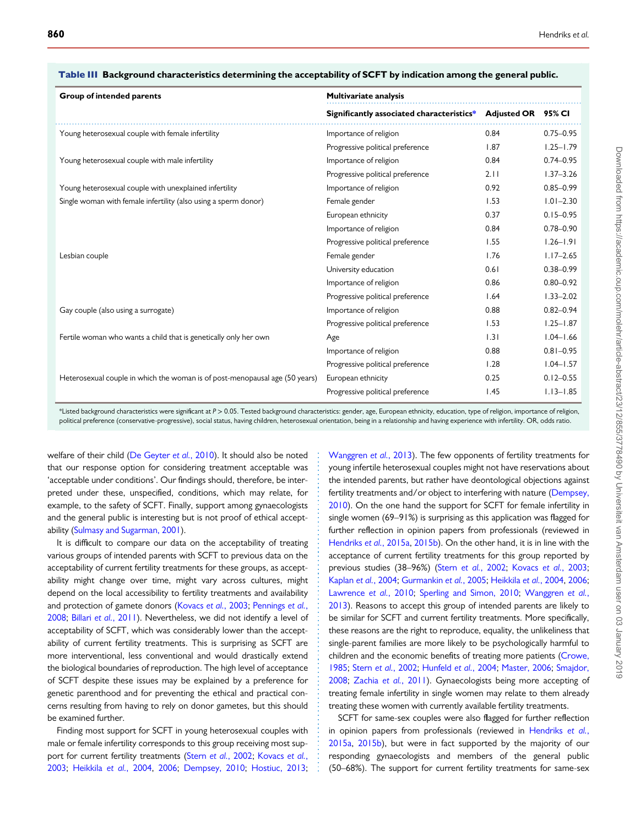| Group of intended parents                                                   | <b>Multivariate analysis</b>                                 |      |               |  |
|-----------------------------------------------------------------------------|--------------------------------------------------------------|------|---------------|--|
|                                                                             | Significantly associated characteristics* Adjusted OR 95% CI |      |               |  |
| Young heterosexual couple with female infertility                           | Importance of religion                                       | 0.84 | $0.75 - 0.95$ |  |
|                                                                             | Progressive political preference                             | 1.87 | $1.25 - 1.79$ |  |
| Young heterosexual couple with male infertility                             | Importance of religion                                       | 0.84 | $0.74 - 0.95$ |  |
|                                                                             | Progressive political preference                             | 2.11 | $1.37 - 3.26$ |  |
| Young heterosexual couple with unexplained infertility                      | Importance of religion                                       | 0.92 | $0.85 - 0.99$ |  |
| Single woman with female infertility (also using a sperm donor)             | Female gender                                                | 1.53 | $1.01 - 2.30$ |  |
|                                                                             | European ethnicity                                           | 0.37 | $0.15 - 0.95$ |  |
|                                                                             | Importance of religion                                       | 0.84 | $0.78 - 0.90$ |  |
|                                                                             | Progressive political preference                             | 1.55 | $1.26 - 1.91$ |  |
| Lesbian couple                                                              | Female gender                                                | 1.76 | $1.17 - 2.65$ |  |
|                                                                             | University education                                         | 0.61 | $0.38 - 0.99$ |  |
|                                                                             | Importance of religion                                       | 0.86 | $0.80 - 0.92$ |  |
|                                                                             | Progressive political preference                             | 1.64 | $1.33 - 2.02$ |  |
| Gay couple (also using a surrogate)                                         | Importance of religion                                       | 0.88 | $0.82 - 0.94$ |  |
|                                                                             | Progressive political preference                             | 1.53 | $1.25 - 1.87$ |  |
| Fertile woman who wants a child that is genetically only her own            | Age                                                          | 1.31 | $1.04 - 1.66$ |  |
|                                                                             | Importance of religion                                       | 0.88 | $0.81 - 0.95$ |  |
|                                                                             | Progressive political preference                             | 1.28 | $1.04 - 1.57$ |  |
| Heterosexual couple in which the woman is of post-menopausal age (50 years) | European ethnicity                                           | 0.25 | $0.12 - 0.55$ |  |
|                                                                             | Progressive political preference                             | 1.45 | $1.13 - 1.85$ |  |

#### <span id="page-6-0"></span>Table III Background characteristics determining the acceptability of SCFT by indication among the general public.

\*Listed background characteristics were significant at P > 0.05. Tested background characteristics: gender, age, European ethnicity, education, type of religion, importance of religion, political preference (conservative-progressive), social status, having children, heterosexual orientation, being in a relationship and having experience with infertility. OR, odds ratio.

welfare of their child [\(De Geyter](#page-8-0) et al., 2010). It should also be noted that our response option for considering treatment acceptable was 'acceptable under conditions'. Our findings should, therefore, be interpreted under these, unspecified, conditions, which may relate, for example, to the safety of SCFT. Finally, support among gynaecologists and the general public is interesting but is not proof of ethical acceptability ([Sulmasy and Sugarman, 2001\)](#page-9-0).

It is difficult to compare our data on the acceptability of treating various groups of intended parents with SCFT to previous data on the acceptability of current fertility treatments for these groups, as acceptability might change over time, might vary across cultures, might depend on the local accessibility to fertility treatments and availability and protection of gamete donors ([Kovacs](#page-8-0) et al., 2003; [Pennings](#page-9-0) et al., [2008](#page-9-0); Billari et al.[, 2011\)](#page-8-0). Nevertheless, we did not identify a level of acceptability of SCFT, which was considerably lower than the acceptability of current fertility treatments. This is surprising as SCFT are more interventional, less conventional and would drastically extend the biological boundaries of reproduction. The high level of acceptance of SCFT despite these issues may be explained by a preference for genetic parenthood and for preventing the ethical and practical concerns resulting from having to rely on donor gametes, but this should be examined further.

Finding most support for SCFT in young heterosexual couples with male or female infertility corresponds to this group receiving most sup-port for current fertility treatments (Stern et al.[, 2002;](#page-9-0) [Kovacs](#page-8-0) et al., [2003](#page-8-0); [Heikkila](#page-8-0) et al., 2004, [2006;](#page-8-0) [Dempsey, 2010](#page-8-0); [Hostiuc, 2013;](#page-8-0) [Wanggren](#page-9-0) et al., 2013). The few opponents of fertility treatments for young infertile heterosexual couples might not have reservations about the intended parents, but rather have deontological objections against fertility treatments and/or object to interfering with nature ([Dempsey,](#page-8-0) [2010\)](#page-8-0). On the one hand the support for SCFT for female infertility in single women (69–91%) is surprising as this application was flagged for further reflection in opinion papers from professionals (reviewed in [Hendriks](#page-8-0) et al., 2015a, [2015b](#page-8-0)). On the other hand, it is in line with the acceptance of current fertility treatments for this group reported by previous studies (38–96%) (Stern et al.[, 2002](#page-9-0); [Kovacs](#page-8-0) et al., 2003; [Kaplan](#page-8-0) et al., 2004; [Gurmankin](#page-8-0) et al., 2005; [Heikkila](#page-8-0) et al., 2004, [2006;](#page-8-0) [Lawrence](#page-8-0) et al., 2010; [Sperling and Simon, 2010](#page-9-0); [Wanggren](#page-9-0) et al., [2013\)](#page-9-0). Reasons to accept this group of intended parents are likely to be similar for SCFT and current fertility treatments. More specifically, these reasons are the right to reproduce, equality, the unlikeliness that single-parent families are more likely to be psychologically harmful to children and the economic benefits of treating more patients [\(Crowe,](#page-8-0) [1985;](#page-8-0) Stern et al.[, 2002](#page-9-0); [Hunfeld](#page-8-0) et al., 2004; [Master, 2006;](#page-8-0) [Smajdor,](#page-9-0) [2008;](#page-9-0) Zachia et al.[, 2011](#page-9-0)). Gynaecologists being more accepting of treating female infertility in single women may relate to them already treating these women with currently available fertility treatments.

SCFT for same-sex couples were also flagged for further reflection in opinion papers from professionals (reviewed in [Hendriks](#page-8-0) et al., [2015a,](#page-8-0) [2015b](#page-8-0)), but were in fact supported by the majority of our responding gynaecologists and members of the general public (50–68%). The support for current fertility treatments for same-sex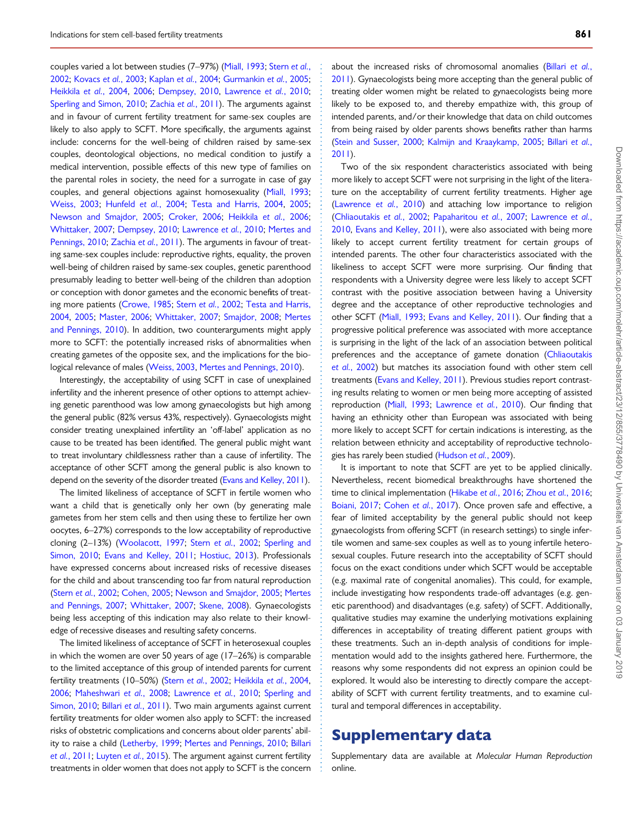couples varied a lot between studies (7–97%) ([Miall, 1993](#page-8-0); [Stern](#page-9-0) et al., [2002](#page-9-0); [Kovacs](#page-8-0) et al., 2003; [Kaplan](#page-8-0) et al., 2004; [Gurmankin](#page-8-0) et al., 2005; [Heikkila](#page-8-0) et al., 2004, [2006;](#page-8-0) [Dempsey, 2010](#page-8-0), [Lawrence](#page-8-0) et al., 2010; [Sperling and Simon, 2010;](#page-9-0) [Zachia](#page-9-0) et al., 2011). The arguments against and in favour of current fertility treatment for same-sex couples are likely to also apply to SCFT. More specifically, the arguments against include: concerns for the well-being of children raised by same-sex couples, deontological objections, no medical condition to justify a medical intervention, possible effects of this new type of families on the parental roles in society, the need for a surrogate in case of gay couples, and general objections against homosexuality [\(Miall, 1993](#page-8-0); [Weiss, 2003;](#page-9-0) [Hunfeld](#page-8-0) et al., 2004; [Testa and Harris, 2004](#page-9-0), [2005](#page-9-0); [Newson and Smajdor, 2005;](#page-8-0) [Croker, 2006;](#page-8-0) [Heikkila](#page-8-0) et al., 2006; [Whittaker, 2007;](#page-9-0) [Dempsey, 2010;](#page-8-0) [Lawrence](#page-8-0) et al., 2010; [Mertes and](#page-8-0) [Pennings, 2010;](#page-8-0) [Zachia](#page-9-0) et al., 2011). The arguments in favour of treating same-sex couples include: reproductive rights, equality, the proven well-being of children raised by same-sex couples, genetic parenthood presumably leading to better well-being of the children than adoption or conception with donor gametes and the economic benefits of treating more patients [\(Crowe, 1985](#page-8-0); Stern et al.[, 2002;](#page-9-0) [Testa and Harris,](#page-9-0) [2004](#page-9-0), [2005;](#page-9-0) [Master, 2006](#page-8-0); [Whittaker, 2007;](#page-9-0) [Smajdor, 2008](#page-9-0); [Mertes](#page-8-0) [and Pennings, 2010\)](#page-8-0). In addition, two counterarguments might apply more to SCFT: the potentially increased risks of abnormalities when creating gametes of the opposite sex, and the implications for the biological relevance of males [\(Weiss, 2003,](#page-9-0) [Mertes and Pennings, 2010](#page-8-0)).

Interestingly, the acceptability of using SCFT in case of unexplained infertility and the inherent presence of other options to attempt achieving genetic parenthood was low among gynaecologists but high among the general public (82% versus 43%, respectively). Gynaecologists might consider treating unexplained infertility an 'off-label' application as no cause to be treated has been identified. The general public might want to treat involuntary childlessness rather than a cause of infertility. The acceptance of other SCFT among the general public is also known to depend on the severity of the disorder treated [\(Evans and Kelley, 2011\)](#page-8-0).

The limited likeliness of acceptance of SCFT in fertile women who want a child that is genetically only her own (by generating male gametes from her stem cells and then using these to fertilize her own oocytes, 6–27%) corresponds to the low acceptability of reproductive cloning (2–13%) [\(Woolacott, 1997;](#page-9-0) Stern et al.[, 2002](#page-9-0); [Sperling and](#page-9-0) [Simon, 2010](#page-9-0); [Evans and Kelley, 2011;](#page-8-0) [Hostiuc, 2013\)](#page-8-0). Professionals have expressed concerns about increased risks of recessive diseases for the child and about transcending too far from natural reproduction (Stern et al.[, 2002;](#page-9-0) [Cohen, 2005](#page-8-0); [Newson and Smajdor, 2005;](#page-8-0) [Mertes](#page-8-0) [and Pennings, 2007](#page-8-0); [Whittaker, 2007](#page-9-0); [Skene, 2008\)](#page-9-0). Gynaecologists being less accepting of this indication may also relate to their knowledge of recessive diseases and resulting safety concerns.

The limited likeliness of acceptance of SCFT in heterosexual couples in which the women are over 50 years of age (17–26%) is comparable to the limited acceptance of this group of intended parents for current fertility treatments (10–50%) (Stern et al.[, 2002](#page-9-0); [Heikkila](#page-8-0) et al., 2004, [2006](#page-8-0); [Maheshwari](#page-8-0) et al., 2008; [Lawrence](#page-8-0) et al., 2010; [Sperling and](#page-9-0) [Simon, 2010;](#page-9-0) Billari et al.[, 2011\)](#page-8-0). Two main arguments against current fertility treatments for older women also apply to SCFT: the increased risks of obstetric complications and concerns about older parents' ability to raise a child [\(Letherby, 1999;](#page-8-0) [Mertes and Pennings, 2010;](#page-8-0) [Billari](#page-8-0) et al.[, 2011;](#page-8-0) [Luyten](#page-8-0) et al., 2015). The argument against current fertility treatments in older women that does not apply to SCFT is the concern

about the increased risks of chromosomal anomalies ([Billari](#page-8-0) et al., [2011](#page-8-0)). Gynaecologists being more accepting than the general public of treating older women might be related to gynaecologists being more likely to be exposed to, and thereby empathize with, this group of intended parents, and/or their knowledge that data on child outcomes from being raised by older parents shows benefits rather than harms [\(Stein and Susser, 2000;](#page-9-0) [Kalmijn and Kraaykamp, 2005;](#page-8-0) [Billari](#page-8-0) et al., [2011](#page-8-0)).

Two of the six respondent characteristics associated with being more likely to accept SCFT were not surprising in the light of the literature on the acceptability of current fertility treatments. Higher age [\(Lawrence](#page-8-0) et al., 2010) and attaching low importance to religion [\(Chliaoutakis](#page-8-0) et al., 2002; [Papaharitou](#page-9-0) et al., 2007; [Lawrence](#page-8-0) et al., [2010](#page-8-0), [Evans and Kelley, 2011\)](#page-8-0), were also associated with being more likely to accept current fertility treatment for certain groups of intended parents. The other four characteristics associated with the likeliness to accept SCFT were more surprising. Our finding that respondents with a University degree were less likely to accept SCFT contrast with the positive association between having a University degree and the acceptance of other reproductive technologies and other SCFT ([Miall, 1993](#page-8-0); [Evans and Kelley, 2011\)](#page-8-0). Our finding that a progressive political preference was associated with more acceptance is surprising in the light of the lack of an association between political preferences and the acceptance of gamete donation ([Chliaoutakis](#page-8-0) et al.[, 2002](#page-8-0)) but matches its association found with other stem cell treatments ([Evans and Kelley, 2011\)](#page-8-0). Previous studies report contrasting results relating to women or men being more accepting of assisted reproduction [\(Miall, 1993](#page-8-0); [Lawrence](#page-8-0) et al., 2010). Our finding that having an ethnicity other than European was associated with being more likely to accept SCFT for certain indications is interesting, as the relation between ethnicity and acceptability of reproductive technologies has rarely been studied [\(Hudson](#page-8-0) et al., 2009).

It is important to note that SCFT are yet to be applied clinically. Nevertheless, recent biomedical breakthroughs have shortened the time to clinical implementation [\(Hikabe](#page-8-0) et al., 2016; Zhou et al.[, 2016;](#page-9-0) [Boiani, 2017](#page-8-0); [Cohen](#page-8-0) et al., 2017). Once proven safe and effective, a fear of limited acceptability by the general public should not keep gynaecologists from offering SCFT (in research settings) to single infertile women and same-sex couples as well as to young infertile heterosexual couples. Future research into the acceptability of SCFT should focus on the exact conditions under which SCFT would be acceptable (e.g. maximal rate of congenital anomalies). This could, for example, include investigating how respondents trade-off advantages (e.g. genetic parenthood) and disadvantages (e.g. safety) of SCFT. Additionally, qualitative studies may examine the underlying motivations explaining differences in acceptability of treating different patient groups with these treatments. Such an in-depth analysis of conditions for implementation would add to the insights gathered here. Furthermore, the reasons why some respondents did not express an opinion could be explored. It would also be interesting to directly compare the acceptability of SCFT with current fertility treatments, and to examine cultural and temporal differences in acceptability.

# Supplementary data

Supplementary data are available at Molecular Human Reproduction online.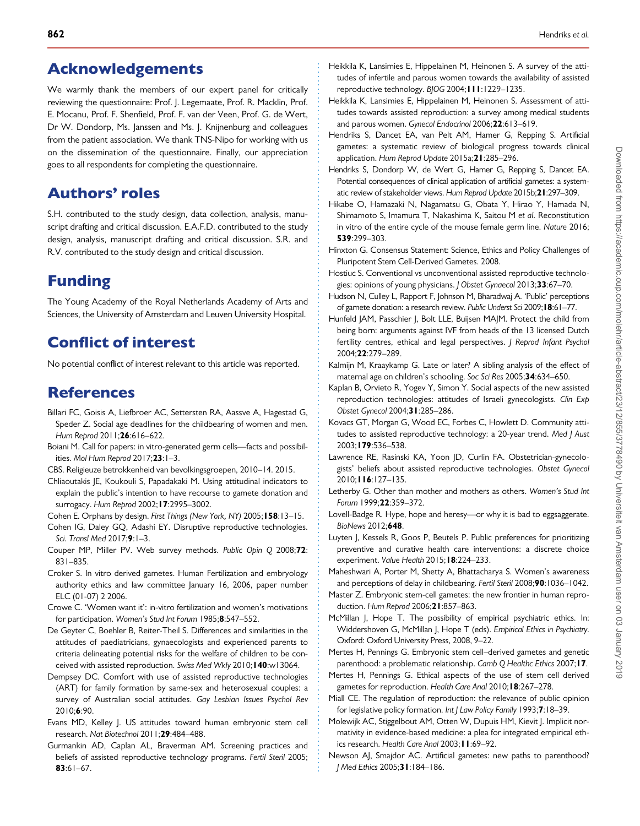# <span id="page-8-0"></span>Acknowledgements

We warmly thank the members of our expert panel for critically reviewing the questionnaire: Prof. J. Legemaate, Prof. R. Macklin, Prof. E. Mocanu, Prof. F. Shenfield, Prof. F. van der Veen, Prof. G. de Wert, Dr W. Dondorp, Ms. Janssen and Ms. J. Knijnenburg and colleagues from the patient association. We thank TNS-Nipo for working with us on the dissemination of the questionnaire. Finally, our appreciation goes to all respondents for completing the questionnaire.

# Authors' roles

S.H. contributed to the study design, data collection, analysis, manuscript drafting and critical discussion. E.A.F.D. contributed to the study design, analysis, manuscript drafting and critical discussion. S.R. and R.V. contributed to the study design and critical discussion.

# Funding

The Young Academy of the Royal Netherlands Academy of Arts and Sciences, the University of Amsterdam and Leuven University Hospital.

# Conflict of interest

No potential conflict of interest relevant to this article was reported.

# References

- Billari FC, Goisis A, Liefbroer AC, Settersten RA, Aassve A, Hagestad G, Speder Z. Social age deadlines for the childbearing of women and men. Hum Reprod 2011; 26:616-622.
- Boiani M. Call for papers: in vitro-generated germ cells—facts and possibilities. Mol Hum Reprod 2017;23:1–3.
- CBS. Religieuze betrokkenheid van bevolkingsgroepen, 2010–14. 2015.
- Chliaoutakis JE, Koukouli S, Papadakaki M. Using attitudinal indicators to explain the public's intention to have recourse to gamete donation and surrogacy. Hum Reprod 2002; **17**:2995-3002.
- Cohen E. Orphans by design. First Things (New York, NY) 2005; 158:13-15.
- Cohen IG, Daley GQ, Adashi EY. Disruptive reproductive technologies. Sci. Transl Med 2017;9:1-3.
- Couper MP, Miller PV. Web survey methods. Public Opin Q 2008;72: 831–835.
- Croker S. In vitro derived gametes. Human Fertilization and embryology authority ethics and law committee January 16, 2006, paper number ELC (01-07) 2 2006.
- Crowe C. 'Women want it': in-vitro fertilization and women's motivations for participation. Women's Stud Int Forum 1985;8:547–552.
- De Geyter C, Boehler B, Reiter-Theil S. Differences and similarities in the attitudes of paediatricians, gynaecologists and experienced parents to criteria delineating potential risks for the welfare of children to be conceived with assisted reproduction. Swiss Med Wkly 2010; 140:w13064.
- Dempsey DC. Comfort with use of assisted reproductive technologies (ART) for family formation by same-sex and heterosexual couples: a survey of Australian social attitudes. Gay Lesbian Issues Psychol Rev 2010;6:90.
- Evans MD, Kelley J. US attitudes toward human embryonic stem cell research. Nat Biotechnol 2011;29:484–488.
- Gurmankin AD, Caplan AL, Braverman AM. Screening practices and beliefs of assisted reproductive technology programs. Fertil Steril 2005; 83:61–67.
- Heikkila K, Lansimies E, Hippelainen M, Heinonen S. A survey of the attitudes of infertile and parous women towards the availability of assisted reproductive technology. BJOG 2004;111:1229–1235.
- Heikkila K, Lansimies E, Hippelainen M, Heinonen S. Assessment of attitudes towards assisted reproduction: a survey among medical students and parous women. Gynecol Endocrinol 2006;22:613–619.
- Hendriks S, Dancet EA, van Pelt AM, Hamer G, Repping S. Artificial gametes: a systematic review of biological progress towards clinical application. Hum Reprod Update 2015a;21:285–296.
- Hendriks S, Dondorp W, de Wert G, Hamer G, Repping S, Dancet EA. Potential consequences of clinical application of artificial gametes: a systematic review of stakeholder views. Hum Reprod Update 2015b;21:297–309.
- Hikabe O, Hamazaki N, Nagamatsu G, Obata Y, Hirao Y, Hamada N, Shimamoto S, Imamura T, Nakashima K, Saitou M et al. Reconstitution in vitro of the entire cycle of the mouse female germ line. Nature 2016; 539:299–303.
- Hinxton G. Consensus Statement: Science, Ethics and Policy Challenges of Pluripotent Stem Cell-Derived Gametes. 2008.
- Hostiuc S. Conventional vs unconventional assisted reproductive technologies: opinions of young physicians. J Obstet Gynaecol 2013;33:67–70.
- Hudson N, Culley L, Rapport F, Johnson M, Bharadwaj A. 'Public' perceptions of gamete donation: a research review. Public Underst Sci 2009;18:61–77.
- Hunfeld JAM, Passchier J, Bolt LLE, Buijsen MAJM. Protect the child from being born: arguments against IVF from heads of the 13 licensed Dutch fertility centres, ethical and legal perspectives. J Reprod Infant Psychol 2004;22:279–289.
- Kalmijn M, Kraaykamp G. Late or later? A sibling analysis of the effect of maternal age on children's schooling. Soc Sci Res 2005;34:634–650.
- Kaplan B, Orvieto R, Yogev Y, Simon Y. Social aspects of the new assisted reproduction technologies: attitudes of Israeli gynecologists. Clin Exp Obstet Gynecol 2004;31:285–286.
- Kovacs GT, Morgan G, Wood EC, Forbes C, Howlett D. Community attitudes to assisted reproductive technology: a 20-year trend. Med J Aust 2003;179:536–538.
- Lawrence RE, Rasinski KA, Yoon JD, Curlin FA. Obstetrician-gynecologists' beliefs about assisted reproductive technologies. Obstet Gynecol 2010;116:127–135.
- Letherby G. Other than mother and mothers as others. Women's Stud Int Forum 1999;22:359–372.
- Lovell-Badge R. Hype, hope and heresy—or why it is bad to eggsaggerate. BioNews 2012;648.
- Luyten J, Kessels R, Goos P, Beutels P. Public preferences for prioritizing preventive and curative health care interventions: a discrete choice experiment. Value Health 2015;18:224–233.
- Maheshwari A, Porter M, Shetty A, Bhattacharya S. Women's awareness and perceptions of delay in childbearing. Fertil Steril 2008;90:1036–1042.
- Master Z. Embryonic stem-cell gametes: the new frontier in human reproduction. Hum Reprod 2006;21:857–863.
- McMillan J, Hope T. The possibility of empirical psychiatric ethics. In: Widdershoven G, McMillan J, Hope T (eds). Empirical Ethics in Psychiatry. Oxford: Oxford University Press, 2008, 9–22.

Mertes H, Pennings G. Embryonic stem cell–derived gametes and genetic parenthood: a problematic relationship. Camb Q Healthc Ethics 2007;17.

- Mertes H, Pennings G. Ethical aspects of the use of stem cell derived gametes for reproduction. Health Care Anal 2010; 18:267-278.
- Miall CE. The regulation of reproduction: the relevance of public opinion for legislative policy formation. Int J Law Policy Family 1993;7:18-39.
- Molewijk AC, Stiggelbout AM, Otten W, Dupuis HM, Kievit J. Implicit normativity in evidence-based medicine: a plea for integrated empirical ethics research. Health Care Anal 2003;11:69–92.
- Newson AJ, Smajdor AC. Artificial gametes: new paths to parenthood? J Med Ethics 2005;31:184–186.